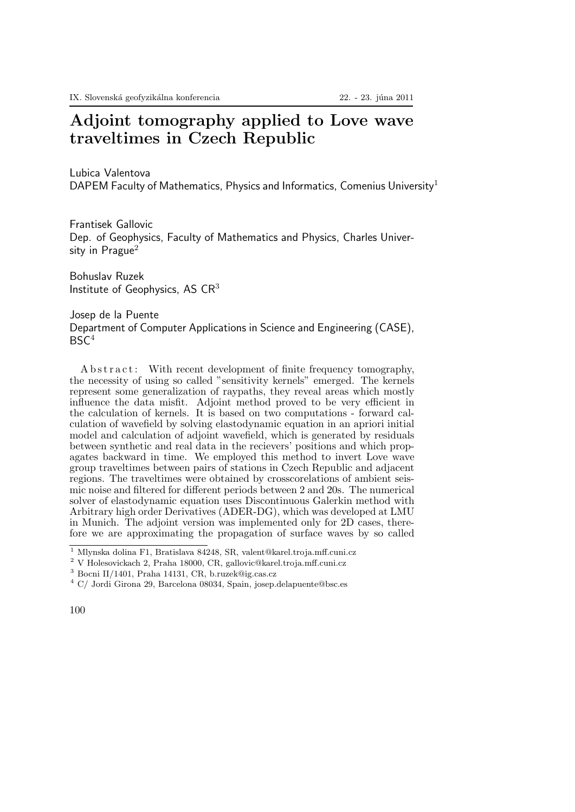## Adjoint tomography applied to Love wave traveltimes in Czech Republic

Lubica Valentova

DAPEM Faculty of Mathematics, Physics and Informatics, Comenius University<sup>1</sup>

Frantisek Gallovic Dep. of Geophysics, Faculty of Mathematics and Physics, Charles University in  $P$ rague $^2$ 

Bohuslav Ruzek Institute of Geophysics, AS CR<sup>3</sup>

Josep de la Puente Department of Computer Applications in Science and Engineering (CASE),  $BSC<sup>4</sup>$ 

A b s t r a c t : With recent development of finite frequency tomography, the necessity of using so called "sensitivity kernels" emerged. The kernels represent some generalization of raypaths, they reveal areas which mostly influence the data misfit. Adjoint method proved to be very efficient in the calculation of kernels. It is based on two computations - forward calculation of wavefield by solving elastodynamic equation in an apriori initial model and calculation of adjoint wavefield, which is generated by residuals between synthetic and real data in the recievers' positions and which propagates backward in time. We employed this method to invert Love wave group traveltimes between pairs of stations in Czech Republic and adjacent regions. The traveltimes were obtained by crosscorelations of ambient seismic noise and filtered for different periods between 2 and 20s. The numerical solver of elastodynamic equation uses Discontinuous Galerkin method with Arbitrary high order Derivatives (ADER-DG), which was developed at LMU in Munich. The adjoint version was implemented only for 2D cases, therefore we are approximating the propagation of surface waves by so called

<sup>1</sup> Mlynska dolina F1, Bratislava 84248, SR, valent@karel.troja.mff.cuni.cz

<sup>2</sup> V Holesovickach 2, Praha 18000, CR, gallovic@karel.troja.mff.cuni.cz

<sup>3</sup> Bocni II/1401, Praha 14131, CR, b.ruzek@ig.cas.cz

<sup>4</sup> C/ Jordi Girona 29, Barcelona 08034, Spain, josep.delapuente@bsc.es